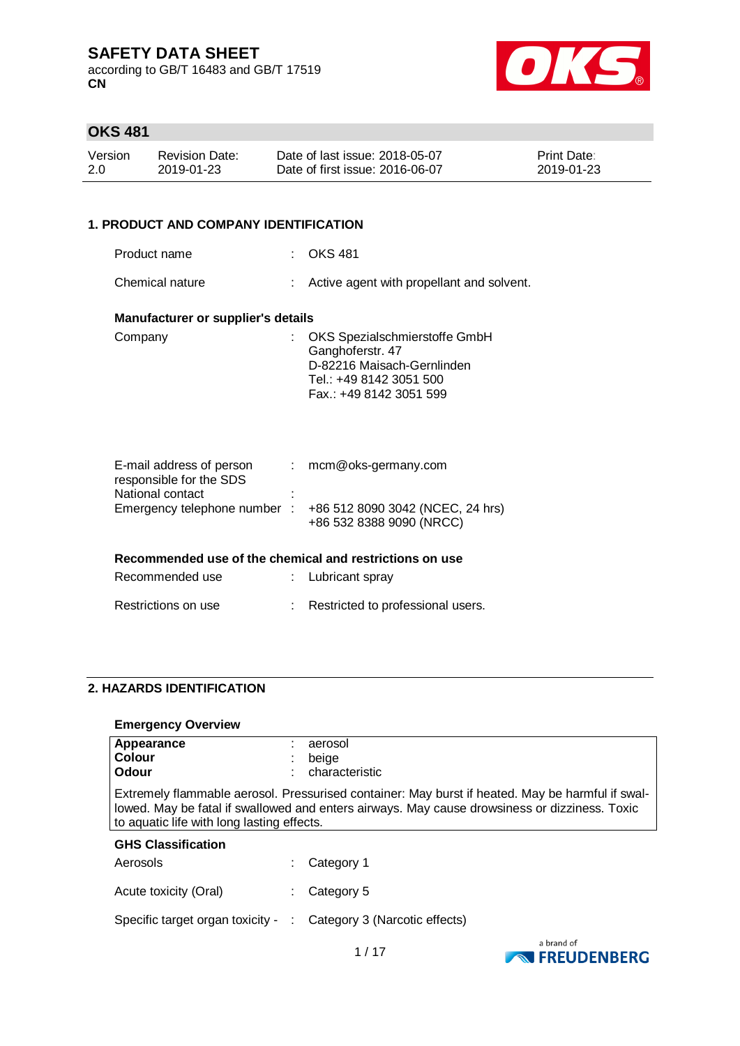according to GB/T 16483 and GB/T 17519 **CN**



# **OKS 481**

| Version | <b>Revision Date:</b> | Date of last issue: 2018-05-07  | <b>Print Date:</b> |
|---------|-----------------------|---------------------------------|--------------------|
| 2.0     | 2019-01-23            | Date of first issue: 2016-06-07 | 2019-01-23         |

### **1. PRODUCT AND COMPANY IDENTIFICATION**

| Product name                                                                |    | <b>OKS 481</b>                                                                                                                        |
|-----------------------------------------------------------------------------|----|---------------------------------------------------------------------------------------------------------------------------------------|
|                                                                             |    |                                                                                                                                       |
| Chemical nature                                                             | ÷. | Active agent with propellant and solvent.                                                                                             |
| <b>Manufacturer or supplier's details</b>                                   |    |                                                                                                                                       |
| Company                                                                     |    | OKS Spezialschmierstoffe GmbH<br>Ganghoferstr. 47<br>D-82216 Maisach-Gernlinden<br>Tel.: +49 8142 3051 500<br>Fax.: +49 8142 3051 599 |
| E-mail address of person<br>responsible for the SDS<br>Matter and a content | ÷. | mcm@oks-germany.com                                                                                                                   |

| E-ITIAII duuless UI persuit |   | . INCITIWORS-GUILIDITY.COM       |
|-----------------------------|---|----------------------------------|
| responsible for the SDS     |   |                                  |
| National contact            | ٠ |                                  |
| Emergency telephone number: |   | +86 512 8090 3042 (NCEC, 24 hrs) |
|                             |   | +86 532 8388 9090 (NRCC)         |
|                             |   |                                  |

# **Recommended use of the chemical and restrictions on use**

| Recommended use     | : Lubricant spray                 |
|---------------------|-----------------------------------|
| Restrictions on use | Restricted to professional users. |

### **2. HAZARDS IDENTIFICATION**

#### **Emergency Overview**

| $\mathbf{L}$ increase in the set of $\mathbf{v}$ |                                                                                                                                                                                                                                                 |                                    |  |  |  |
|--------------------------------------------------|-------------------------------------------------------------------------------------------------------------------------------------------------------------------------------------------------------------------------------------------------|------------------------------------|--|--|--|
| Appearance<br>Colour<br>Odour                    |                                                                                                                                                                                                                                                 | aerosol<br>beige<br>characteristic |  |  |  |
|                                                  | Extremely flammable aerosol. Pressurised container: May burst if heated. May be harmful if swal-<br>lowed. May be fatal if swallowed and enters airways. May cause drowsiness or dizziness. Toxic<br>to aquatic life with long lasting effects. |                                    |  |  |  |
| <b>GHS Classification</b>                        |                                                                                                                                                                                                                                                 |                                    |  |  |  |
| Aerosols                                         |                                                                                                                                                                                                                                                 | Category 1                         |  |  |  |
| Acute toxicity (Oral)                            |                                                                                                                                                                                                                                                 | Category 5                         |  |  |  |
| Specific target organ toxicity -                 |                                                                                                                                                                                                                                                 | Category 3 (Narcotic effects)      |  |  |  |

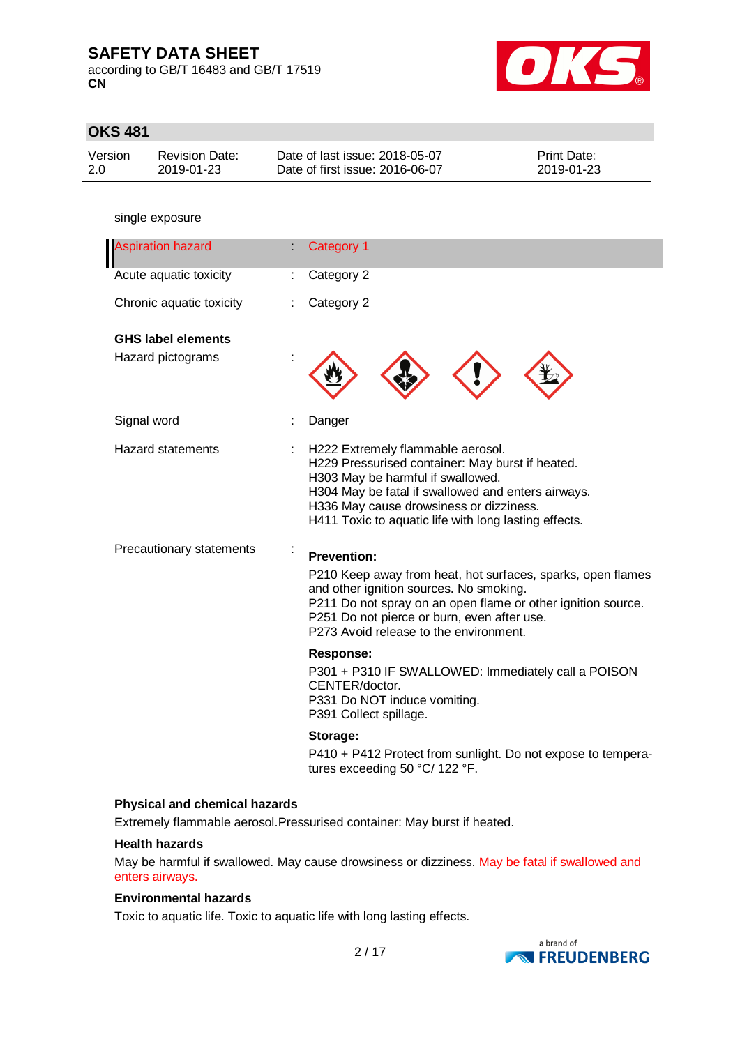according to GB/T 16483 and GB/T 17519 **CN**



| <b>OKS 481</b>           |                                     |                                                                                                                                                                                                                                                                                      |                                                                                                                             |
|--------------------------|-------------------------------------|--------------------------------------------------------------------------------------------------------------------------------------------------------------------------------------------------------------------------------------------------------------------------------------|-----------------------------------------------------------------------------------------------------------------------------|
| Version<br>2.0           | <b>Revision Date:</b><br>2019-01-23 | Date of last issue: 2018-05-07<br>Date of first issue: 2016-06-07                                                                                                                                                                                                                    | Print Date:<br>2019-01-23                                                                                                   |
|                          |                                     |                                                                                                                                                                                                                                                                                      |                                                                                                                             |
|                          | single exposure                     |                                                                                                                                                                                                                                                                                      |                                                                                                                             |
|                          | <b>Aspiration hazard</b>            | Category 1                                                                                                                                                                                                                                                                           |                                                                                                                             |
|                          | Acute aquatic toxicity              | Category 2<br>÷.                                                                                                                                                                                                                                                                     |                                                                                                                             |
|                          | Chronic aquatic toxicity            | Category 2                                                                                                                                                                                                                                                                           |                                                                                                                             |
|                          | <b>GHS label elements</b>           |                                                                                                                                                                                                                                                                                      |                                                                                                                             |
|                          | Hazard pictograms                   |                                                                                                                                                                                                                                                                                      |                                                                                                                             |
|                          | Signal word                         | Danger                                                                                                                                                                                                                                                                               |                                                                                                                             |
|                          | <b>Hazard statements</b>            | H222 Extremely flammable aerosol.<br>H229 Pressurised container: May burst if heated.<br>H303 May be harmful if swallowed.<br>H304 May be fatal if swallowed and enters airways.<br>H336 May cause drowsiness or dizziness.<br>H411 Toxic to aquatic life with long lasting effects. |                                                                                                                             |
| Precautionary statements |                                     | <b>Prevention:</b>                                                                                                                                                                                                                                                                   |                                                                                                                             |
|                          |                                     | and other ignition sources. No smoking.<br>P251 Do not pierce or burn, even after use.<br>P273 Avoid release to the environment.                                                                                                                                                     | P210 Keep away from heat, hot surfaces, sparks, open flames<br>P211 Do not spray on an open flame or other ignition source. |
|                          |                                     | Response:                                                                                                                                                                                                                                                                            |                                                                                                                             |
|                          |                                     | P301 + P310 IF SWALLOWED: Immediately call a POISON<br>CENTER/doctor.<br>P331 Do NOT induce vomiting.<br>P391 Collect spillage.                                                                                                                                                      |                                                                                                                             |
|                          |                                     | Storage:                                                                                                                                                                                                                                                                             |                                                                                                                             |
|                          |                                     | tures exceeding 50 °C/ 122 °F.                                                                                                                                                                                                                                                       | P410 + P412 Protect from sunlight. Do not expose to tempera-                                                                |

#### **Health hazards**

May be harmful if swallowed. May cause drowsiness or dizziness. May be fatal if swallowed and enters airways.

### **Environmental hazards**

Toxic to aquatic life. Toxic to aquatic life with long lasting effects.

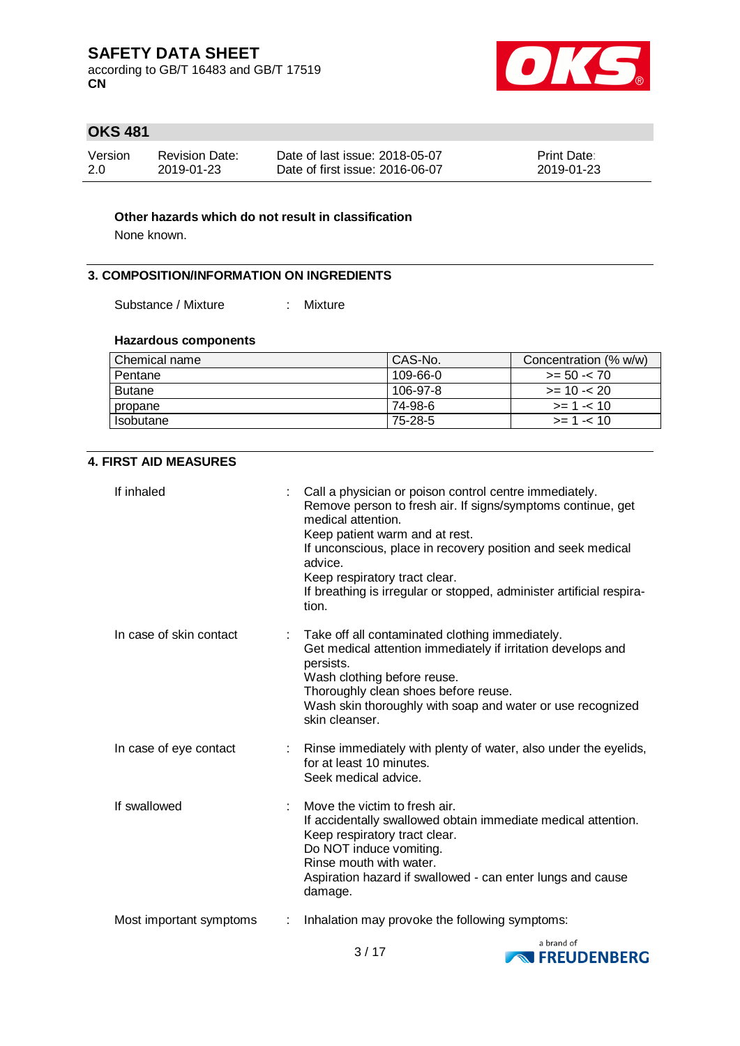according to GB/T 16483 and GB/T 17519 **CN**



## **OKS 481**

| Version | <b>Revision Date:</b> | Date of last issue: 2018-05-07  | <b>Print Date:</b> |
|---------|-----------------------|---------------------------------|--------------------|
| -2.0    | 2019-01-23            | Date of first issue: 2016-06-07 | 2019-01-23         |

### **Other hazards which do not result in classification**

None known.

#### **3. COMPOSITION/INFORMATION ON INGREDIENTS**

Substance / Mixture : Mixture

## **Hazardous components**

| I Chemical name | CAS-No.  | Concentration (% w/w) |
|-----------------|----------|-----------------------|
| Pentane         | 109-66-0 | $>= 50 - 70$          |
| <b>Butane</b>   | 106-97-8 | $>= 10 - 20$          |
| propane         | 74-98-6  | $>= 1 - 10$           |
| Isobutane       | 75-28-5  | $>= 1 - 10$           |

### **4. FIRST AID MEASURES**

| If inhaled                                          | Call a physician or poison control centre immediately.<br>Remove person to fresh air. If signs/symptoms continue, get<br>medical attention.<br>Keep patient warm and at rest.<br>If unconscious, place in recovery position and seek medical<br>advice.<br>Keep respiratory tract clear.<br>If breathing is irregular or stopped, administer artificial respira-<br>tion. |
|-----------------------------------------------------|---------------------------------------------------------------------------------------------------------------------------------------------------------------------------------------------------------------------------------------------------------------------------------------------------------------------------------------------------------------------------|
| In case of skin contact                             | Take off all contaminated clothing immediately.<br>Get medical attention immediately if irritation develops and<br>persists.<br>Wash clothing before reuse.<br>Thoroughly clean shoes before reuse.<br>Wash skin thoroughly with soap and water or use recognized<br>skin cleanser.                                                                                       |
| In case of eye contact<br>$\mathbb{R}^{\mathbb{Z}}$ | Rinse immediately with plenty of water, also under the eyelids,<br>for at least 10 minutes.<br>Seek medical advice.                                                                                                                                                                                                                                                       |
| If swallowed                                        | Move the victim to fresh air.<br>If accidentally swallowed obtain immediate medical attention.<br>Keep respiratory tract clear.<br>Do NOT induce vomiting.<br>Rinse mouth with water.<br>Aspiration hazard if swallowed - can enter lungs and cause<br>damage.                                                                                                            |
| Most important symptoms                             | Inhalation may provoke the following symptoms:                                                                                                                                                                                                                                                                                                                            |
|                                                     |                                                                                                                                                                                                                                                                                                                                                                           |

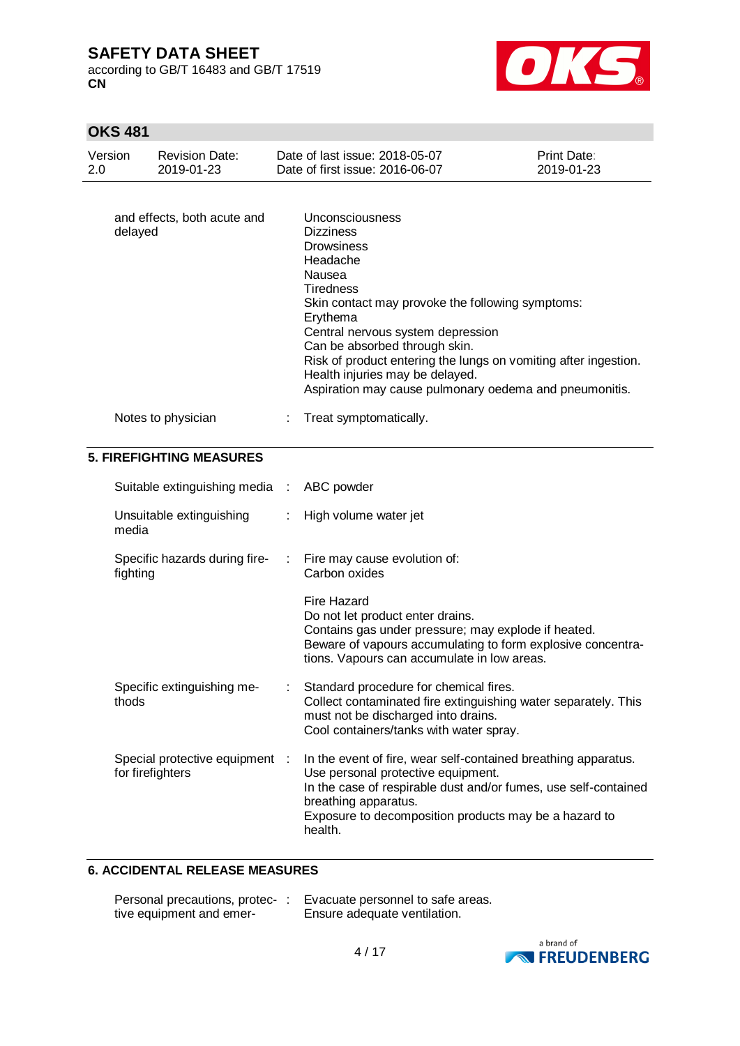according to GB/T 16483 and GB/T 17519 **CN**



## **OKS 481**

| Version<br>2.0 |                  | <b>Revision Date:</b><br>2019-01-23 |   | Date of last issue: 2018-05-07<br>Date of first issue: 2016-06-07                                                                                                                                                                                                                                                                                                                                        | Print Date:<br>2019-01-23 |
|----------------|------------------|-------------------------------------|---|----------------------------------------------------------------------------------------------------------------------------------------------------------------------------------------------------------------------------------------------------------------------------------------------------------------------------------------------------------------------------------------------------------|---------------------------|
|                | delayed          | and effects, both acute and         |   | Unconsciousness<br><b>Dizziness</b><br><b>Drowsiness</b><br>Headache<br>Nausea<br><b>Tiredness</b><br>Skin contact may provoke the following symptoms:<br>Erythema<br>Central nervous system depression<br>Can be absorbed through skin.<br>Risk of product entering the lungs on vomiting after ingestion.<br>Health injuries may be delayed.<br>Aspiration may cause pulmonary oedema and pneumonitis. |                           |
|                |                  | Notes to physician                  |   | Treat symptomatically.                                                                                                                                                                                                                                                                                                                                                                                   |                           |
|                |                  | <b>5. FIREFIGHTING MEASURES</b>     |   |                                                                                                                                                                                                                                                                                                                                                                                                          |                           |
|                |                  | Suitable extinguishing media :      |   | ABC powder                                                                                                                                                                                                                                                                                                                                                                                               |                           |
|                | media            | Unsuitable extinguishing            |   | High volume water jet                                                                                                                                                                                                                                                                                                                                                                                    |                           |
|                | fighting         | Specific hazards during fire-       | ÷ | Fire may cause evolution of:<br>Carbon oxides                                                                                                                                                                                                                                                                                                                                                            |                           |
|                |                  |                                     |   | <b>Fire Hazard</b><br>Do not let product enter drains.<br>Contains gas under pressure; may explode if heated.<br>Beware of vapours accumulating to form explosive concentra-<br>tions. Vapours can accumulate in low areas.                                                                                                                                                                              |                           |
|                | thods            | Specific extinguishing me-          |   | Standard procedure for chemical fires.<br>Collect contaminated fire extinguishing water separately. This<br>must not be discharged into drains.<br>Cool containers/tanks with water spray.                                                                                                                                                                                                               |                           |
|                | for firefighters | Special protective equipment :      |   | In the event of fire, wear self-contained breathing apparatus.<br>Use personal protective equipment.<br>In the case of respirable dust and/or fumes, use self-contained<br>breathing apparatus.<br>Exposure to decomposition products may be a hazard to<br>health.                                                                                                                                      |                           |

### **6. ACCIDENTAL RELEASE MEASURES**

| Personal precautions, protec- | Evacuate personnel to safe areas. |
|-------------------------------|-----------------------------------|
| tive equipment and emer-      | Ensure adequate ventilation.      |

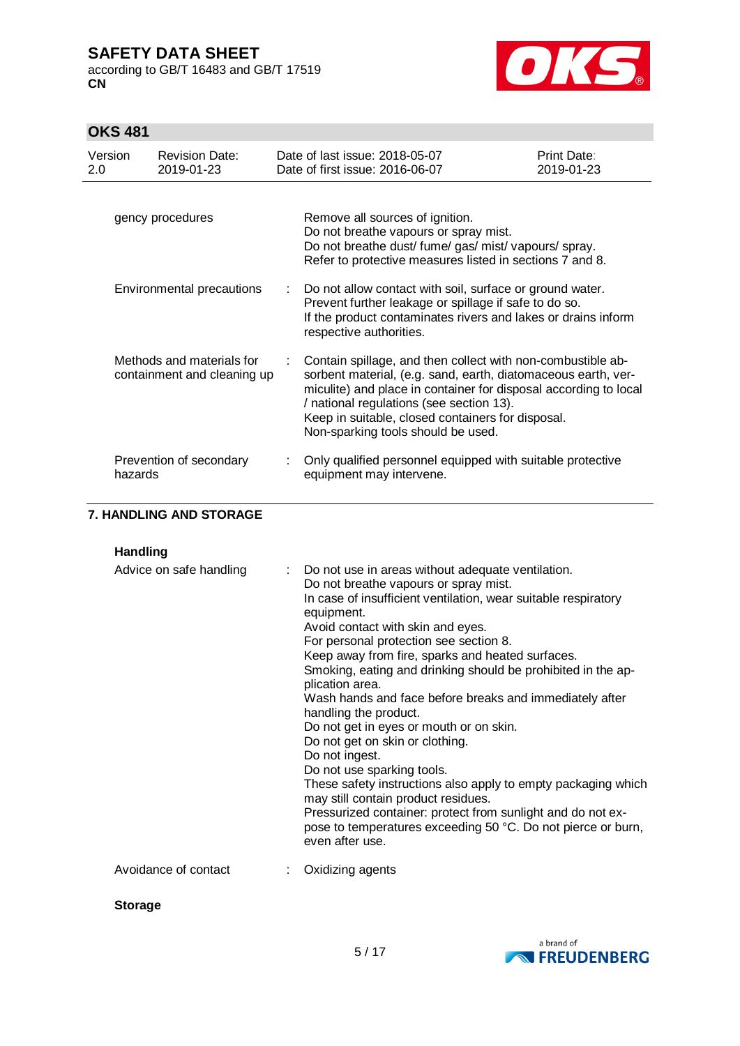according to GB/T 16483 and GB/T 17519 **CN**



## **OKS 481**

| Version<br>2.0                                           | <b>Revision Date:</b><br>2019-01-23 | Date of last issue: 2018-05-07<br>Date of first issue: 2016-06-07                                                                                                                                                                                                                                                                                                            | Print Date:<br>2019-01-23 |
|----------------------------------------------------------|-------------------------------------|------------------------------------------------------------------------------------------------------------------------------------------------------------------------------------------------------------------------------------------------------------------------------------------------------------------------------------------------------------------------------|---------------------------|
| gency procedures                                         |                                     | Remove all sources of ignition.<br>Do not breathe vapours or spray mist.<br>Do not breathe dust/ fume/ gas/ mist/ vapours/ spray.<br>Refer to protective measures listed in sections 7 and 8.                                                                                                                                                                                |                           |
| Environmental precautions                                |                                     | Do not allow contact with soil, surface or ground water.<br>Prevent further leakage or spillage if safe to do so.<br>If the product contaminates rivers and lakes or drains inform<br>respective authorities.                                                                                                                                                                |                           |
| Methods and materials for<br>containment and cleaning up |                                     | Contain spillage, and then collect with non-combustible ab-<br>sorbent material, (e.g. sand, earth, diatomaceous earth, ver-<br>miculite) and place in container for disposal according to local<br>/ national regulations (see section 13).<br>Keep in suitable, closed containers for disposal.<br>Non-sparking tools should be used.                                      |                           |
| Prevention of secondary<br>hazards                       |                                     | Only qualified personnel equipped with suitable protective<br>equipment may intervene.                                                                                                                                                                                                                                                                                       |                           |
|                                                          | 7. HANDLING AND STORAGE             |                                                                                                                                                                                                                                                                                                                                                                              |                           |
| <b>Handling</b>                                          |                                     |                                                                                                                                                                                                                                                                                                                                                                              |                           |
|                                                          | Advice on safe handling             | Do not use in areas without adequate ventilation.<br>Do not breathe vapours or spray mist.<br>In case of insufficient ventilation, wear suitable respiratory<br>equipment.<br>Avoid contact with skin and eyes.<br>For personal protection see section 8.<br>Keep away from fire, sparks and heated surfaces.<br>Smoking, opting and dripking should be probibited in the an |                           |

| Advice on safe handling | : Do not use in areas without adequate ventilation.<br>Do not breathe vapours or spray mist.<br>In case of insufficient ventilation, wear suitable respiratory<br>equipment.<br>Avoid contact with skin and eyes.<br>For personal protection see section 8.<br>Keep away from fire, sparks and heated surfaces.<br>Smoking, eating and drinking should be prohibited in the ap-<br>plication area.<br>Wash hands and face before breaks and immediately after<br>handling the product.<br>Do not get in eyes or mouth or on skin.<br>Do not get on skin or clothing.<br>Do not ingest.<br>Do not use sparking tools.<br>These safety instructions also apply to empty packaging which<br>may still contain product residues.<br>Pressurized container: protect from sunlight and do not ex-<br>pose to temperatures exceeding 50 °C. Do not pierce or burn,<br>even after use. |
|-------------------------|--------------------------------------------------------------------------------------------------------------------------------------------------------------------------------------------------------------------------------------------------------------------------------------------------------------------------------------------------------------------------------------------------------------------------------------------------------------------------------------------------------------------------------------------------------------------------------------------------------------------------------------------------------------------------------------------------------------------------------------------------------------------------------------------------------------------------------------------------------------------------------|
| Avoidance of contact    | Oxidizing agents                                                                                                                                                                                                                                                                                                                                                                                                                                                                                                                                                                                                                                                                                                                                                                                                                                                               |

**Storage**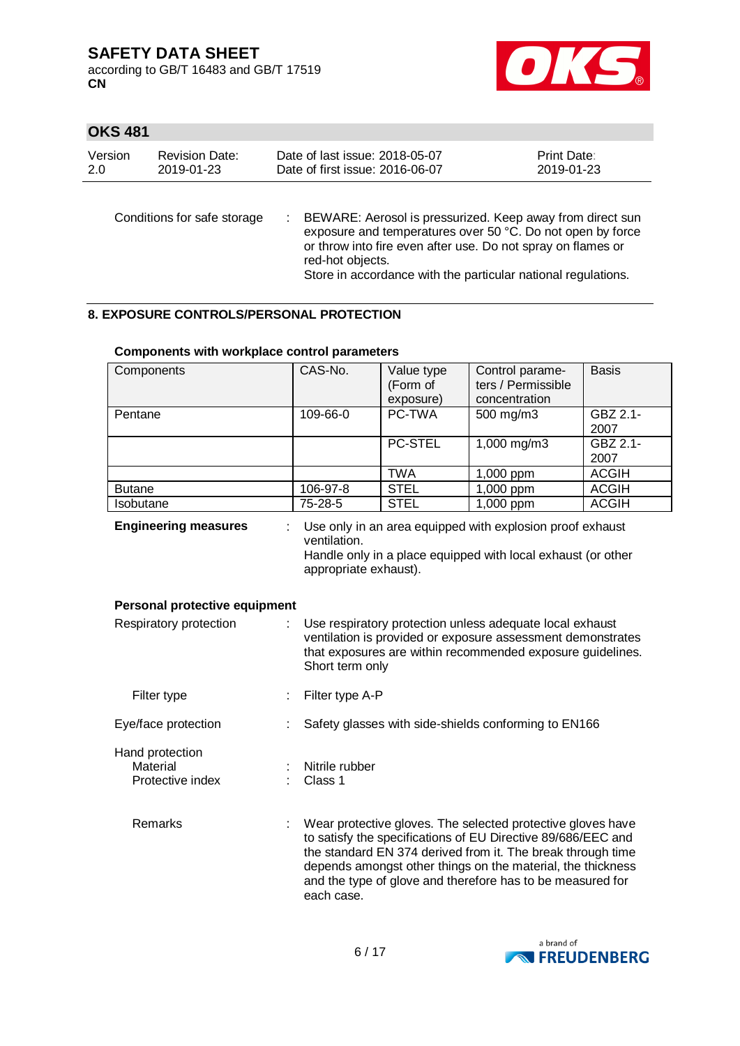according to GB/T 16483 and GB/T 17519 **CN**



## **OKS 481**

| Version | <b>Revision Date:</b>       | Date of last issue: 2018-05-07                                                                                                                                                                                                                                               | Print Date: |
|---------|-----------------------------|------------------------------------------------------------------------------------------------------------------------------------------------------------------------------------------------------------------------------------------------------------------------------|-------------|
| 2.0     | 2019-01-23                  | Date of first issue: 2016-06-07                                                                                                                                                                                                                                              | 2019-01-23  |
|         | Conditions for safe storage | BEWARE: Aerosol is pressurized. Keep away from direct sun<br>exposure and temperatures over 50 °C. Do not open by force<br>or throw into fire even after use. Do not spray on flames or<br>red-hot objects.<br>Store in accordance with the particular national regulations. |             |

### **8. EXPOSURE CONTROLS/PERSONAL PROTECTION**

| Components                                             | CAS-No.                                                                                                                                                                                                  | Value type<br>(Form of<br>exposure) | Control parame-<br>ters / Permissible<br>concentration                                                                                                                                                                                                                                                                  | <b>Basis</b>     |  |
|--------------------------------------------------------|----------------------------------------------------------------------------------------------------------------------------------------------------------------------------------------------------------|-------------------------------------|-------------------------------------------------------------------------------------------------------------------------------------------------------------------------------------------------------------------------------------------------------------------------------------------------------------------------|------------------|--|
| Pentane                                                | 109-66-0                                                                                                                                                                                                 | PC-TWA                              | 500 mg/m3                                                                                                                                                                                                                                                                                                               | GBZ 2.1-<br>2007 |  |
|                                                        |                                                                                                                                                                                                          | <b>PC-STEL</b>                      | 1,000 mg/m3                                                                                                                                                                                                                                                                                                             | GBZ 2.1-<br>2007 |  |
|                                                        |                                                                                                                                                                                                          | <b>TWA</b>                          | 1,000 ppm                                                                                                                                                                                                                                                                                                               | <b>ACGIH</b>     |  |
| <b>Butane</b>                                          | 106-97-8                                                                                                                                                                                                 | <b>STEL</b>                         | 1,000 ppm                                                                                                                                                                                                                                                                                                               | <b>ACGIH</b>     |  |
| Isobutane                                              | 75-28-5                                                                                                                                                                                                  | <b>STEL</b>                         | 1,000 ppm                                                                                                                                                                                                                                                                                                               | <b>ACGIH</b>     |  |
| <b>Engineering measures</b>                            | ventilation.<br>appropriate exhaust).                                                                                                                                                                    |                                     | Use only in an area equipped with explosion proof exhaust<br>Handle only in a place equipped with local exhaust (or other                                                                                                                                                                                               |                  |  |
| Personal protective equipment                          |                                                                                                                                                                                                          |                                     |                                                                                                                                                                                                                                                                                                                         |                  |  |
| Respiratory protection                                 | Use respiratory protection unless adequate local exhaust<br>ventilation is provided or exposure assessment demonstrates<br>that exposures are within recommended exposure guidelines.<br>Short term only |                                     |                                                                                                                                                                                                                                                                                                                         |                  |  |
| Filter type                                            | Filter type A-P                                                                                                                                                                                          |                                     |                                                                                                                                                                                                                                                                                                                         |                  |  |
| Eye/face protection                                    |                                                                                                                                                                                                          |                                     | Safety glasses with side-shields conforming to EN166                                                                                                                                                                                                                                                                    |                  |  |
| Hand protection<br><b>Material</b><br>Protective index | Nitrile rubber<br>Class 1                                                                                                                                                                                |                                     |                                                                                                                                                                                                                                                                                                                         |                  |  |
| Remarks                                                | each case.                                                                                                                                                                                               |                                     | Wear protective gloves. The selected protective gloves have<br>to satisfy the specifications of EU Directive 89/686/EEC and<br>the standard EN 374 derived from it. The break through time<br>depends amongst other things on the material, the thickness<br>and the type of glove and therefore has to be measured for |                  |  |

### **Components with workplace control parameters**

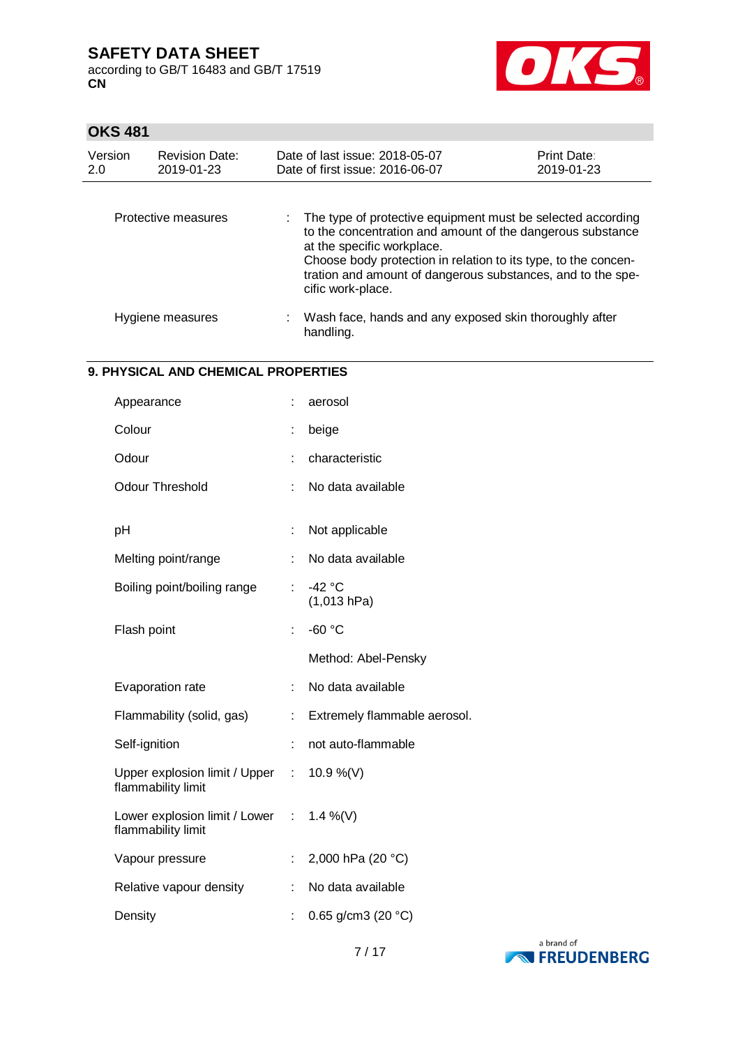according to GB/T 16483 and GB/T 17519 **CN**



## **OKS 481**

| Version<br>2.0 | <b>Revision Date:</b><br>2019-01-23 | Date of last issue: 2018-05-07<br>Date of first issue: 2016-06-07                                                                                                                                                                                                                                             | Print Date:<br>2019-01-23 |
|----------------|-------------------------------------|---------------------------------------------------------------------------------------------------------------------------------------------------------------------------------------------------------------------------------------------------------------------------------------------------------------|---------------------------|
|                | Protective measures                 | The type of protective equipment must be selected according<br>to the concentration and amount of the dangerous substance<br>at the specific workplace.<br>Choose body protection in relation to its type, to the concen-<br>tration and amount of dangerous substances, and to the spe-<br>cific work-place. |                           |
|                | Hygiene measures                    | : Wash face, hands and any exposed skin thoroughly after<br>handling.                                                                                                                                                                                                                                         |                           |

#### **9. PHYSICAL AND CHEMICAL PROPERTIES**

| Appearance                                                     |    | aerosol                      |
|----------------------------------------------------------------|----|------------------------------|
| Colour                                                         | ÷  | beige                        |
| Odour                                                          |    | characteristic               |
| <b>Odour Threshold</b>                                         | ÷  | No data available            |
|                                                                |    |                              |
| pH                                                             | t  | Not applicable               |
| Melting point/range                                            | ÷  | No data available            |
| Boiling point/boiling range                                    | t. | $-42$ °C<br>(1,013 hPa)      |
| Flash point                                                    | ÷  | $-60$ °C                     |
|                                                                |    | Method: Abel-Pensky          |
| Evaporation rate                                               | ÷  | No data available            |
| Flammability (solid, gas)                                      | ÷  | Extremely flammable aerosol. |
| Self-ignition                                                  | ÷  | not auto-flammable           |
| Upper explosion limit / Upper :<br>flammability limit          |    | 10.9 %(V)                    |
| Lower explosion limit / Lower : 1.4 %(V)<br>flammability limit |    |                              |
| Vapour pressure                                                | ÷. | 2,000 hPa (20 °C)            |
| Relative vapour density                                        | ÷  | No data available            |
| Density                                                        | ÷  | 0.65 g/cm3 (20 $°C$ )        |
|                                                                |    |                              |

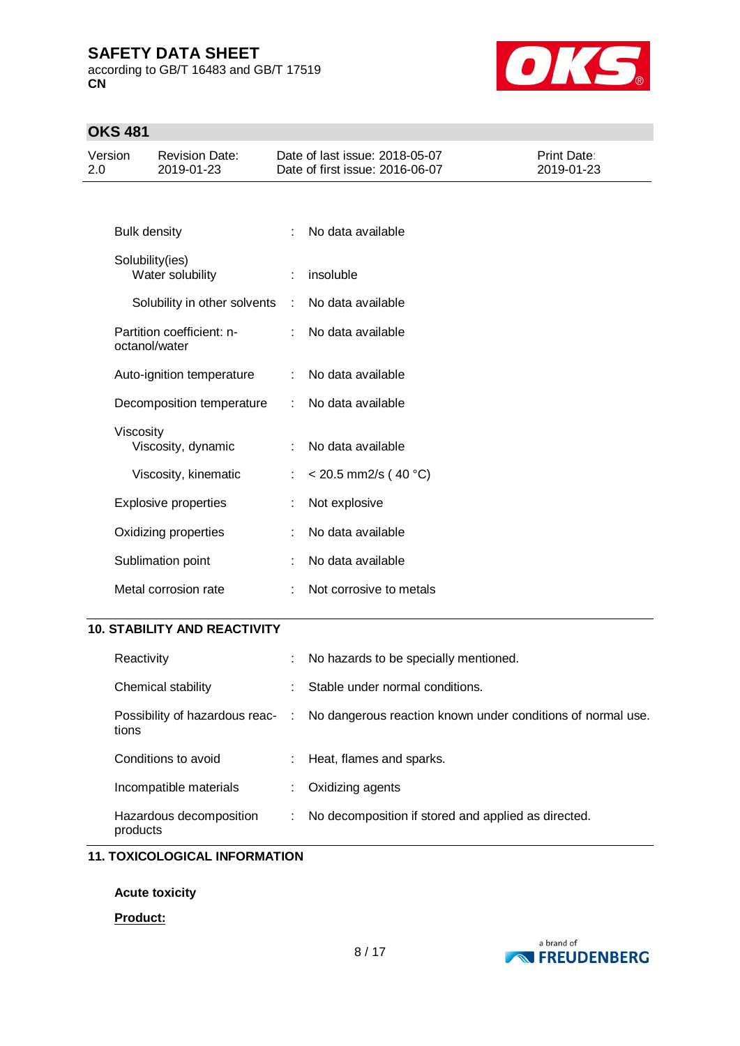according to GB/T 16483 and GB/T 17519 **CN**



## **OKS 481**

| Version<br>2.0 |                     | <b>Revision Date:</b><br>2019-01-23        |   | Date of last issue: 2018-05-07<br>Date of first issue: 2016-06-07 | <b>Print Date:</b><br>2019-01-23 |
|----------------|---------------------|--------------------------------------------|---|-------------------------------------------------------------------|----------------------------------|
|                |                     |                                            |   |                                                                   |                                  |
|                | <b>Bulk density</b> |                                            | ÷ | No data available                                                 |                                  |
|                |                     | Solubility(ies)<br>Water solubility        |   | insoluble                                                         |                                  |
|                |                     | Solubility in other solvents               | ÷ | No data available                                                 |                                  |
|                |                     | Partition coefficient: n-<br>octanol/water |   | No data available                                                 |                                  |
|                |                     | Auto-ignition temperature                  | ÷ | No data available                                                 |                                  |
|                |                     | Decomposition temperature                  |   | No data available                                                 |                                  |
|                | Viscosity           | Viscosity, dynamic                         |   | No data available                                                 |                                  |
|                |                     | Viscosity, kinematic                       | ÷ | $<$ 20.5 mm2/s (40 °C)                                            |                                  |
|                |                     | <b>Explosive properties</b>                |   | Not explosive                                                     |                                  |
|                |                     | Oxidizing properties                       |   | No data available                                                 |                                  |
|                |                     | Sublimation point                          |   | No data available                                                 |                                  |
|                |                     | Metal corrosion rate                       |   | Not corrosive to metals                                           |                                  |

### **10. STABILITY AND REACTIVITY**

| Reactivity                          |    | No hazards to be specially mentioned.                                                        |
|-------------------------------------|----|----------------------------------------------------------------------------------------------|
| Chemical stability                  | ÷. | Stable under normal conditions.                                                              |
| tions                               |    | Possibility of hazardous reac- : No dangerous reaction known under conditions of normal use. |
| Conditions to avoid                 |    | Heat, flames and sparks.                                                                     |
| Incompatible materials              |    | Oxidizing agents                                                                             |
| Hazardous decomposition<br>products | t. | No decomposition if stored and applied as directed.                                          |

## **11. TOXICOLOGICAL INFORMATION**

**Acute toxicity**

### **Product:**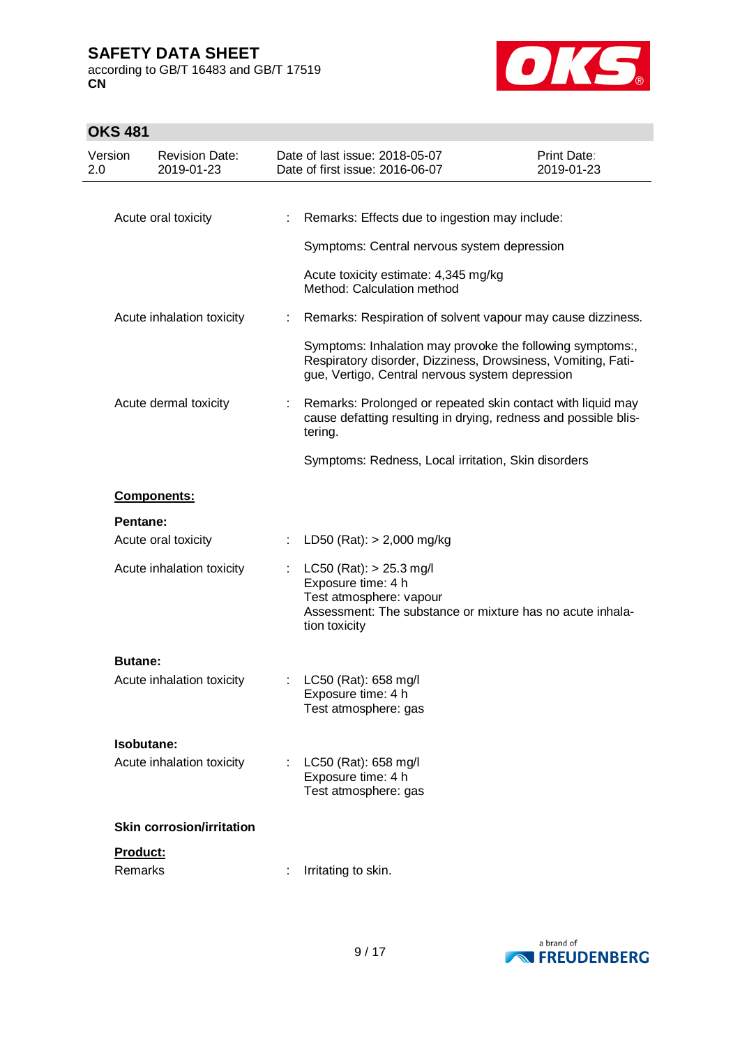according to GB/T 16483 and GB/T 17519 **CN**



# **OKS 481**

| Version<br>2.0 | <b>Revision Date:</b><br>2019-01-23 |    | Date of last issue: 2018-05-07<br>Date of first issue: 2016-06-07                                                                                                            | Print Date:<br>2019-01-23 |
|----------------|-------------------------------------|----|------------------------------------------------------------------------------------------------------------------------------------------------------------------------------|---------------------------|
|                |                                     |    |                                                                                                                                                                              |                           |
|                | Acute oral toxicity                 |    | Remarks: Effects due to ingestion may include:                                                                                                                               |                           |
|                |                                     |    | Symptoms: Central nervous system depression                                                                                                                                  |                           |
|                |                                     |    | Acute toxicity estimate: 4,345 mg/kg<br>Method: Calculation method                                                                                                           |                           |
|                | Acute inhalation toxicity           |    | Remarks: Respiration of solvent vapour may cause dizziness.                                                                                                                  |                           |
|                |                                     |    | Symptoms: Inhalation may provoke the following symptoms:,<br>Respiratory disorder, Dizziness, Drowsiness, Vomiting, Fati-<br>gue, Vertigo, Central nervous system depression |                           |
|                | Acute dermal toxicity               |    | Remarks: Prolonged or repeated skin contact with liquid may<br>cause defatting resulting in drying, redness and possible blis-<br>tering.                                    |                           |
|                |                                     |    | Symptoms: Redness, Local irritation, Skin disorders                                                                                                                          |                           |
|                | Components:                         |    |                                                                                                                                                                              |                           |
|                | Pentane:                            |    |                                                                                                                                                                              |                           |
|                | Acute oral toxicity                 | ÷. | LD50 (Rat): $> 2,000$ mg/kg                                                                                                                                                  |                           |
|                | Acute inhalation toxicity           |    | $LC50$ (Rat): $> 25.3$ mg/l<br>Exposure time: 4 h<br>Test atmosphere: vapour<br>Assessment: The substance or mixture has no acute inhala-<br>tion toxicity                   |                           |
|                | <b>Butane:</b>                      |    |                                                                                                                                                                              |                           |
|                | Acute inhalation toxicity           | ÷. | LC50 (Rat): 658 mg/l<br>Exposure time: 4 h<br>Test atmosphere: gas                                                                                                           |                           |
|                | Isobutane:                          |    |                                                                                                                                                                              |                           |
|                | Acute inhalation toxicity           |    | : LC50 (Rat): 658 mg/l<br>Exposure time: 4 h<br>Test atmosphere: gas                                                                                                         |                           |
|                | <b>Skin corrosion/irritation</b>    |    |                                                                                                                                                                              |                           |
|                | Product:<br>Remarks                 |    | Irritating to skin.                                                                                                                                                          |                           |

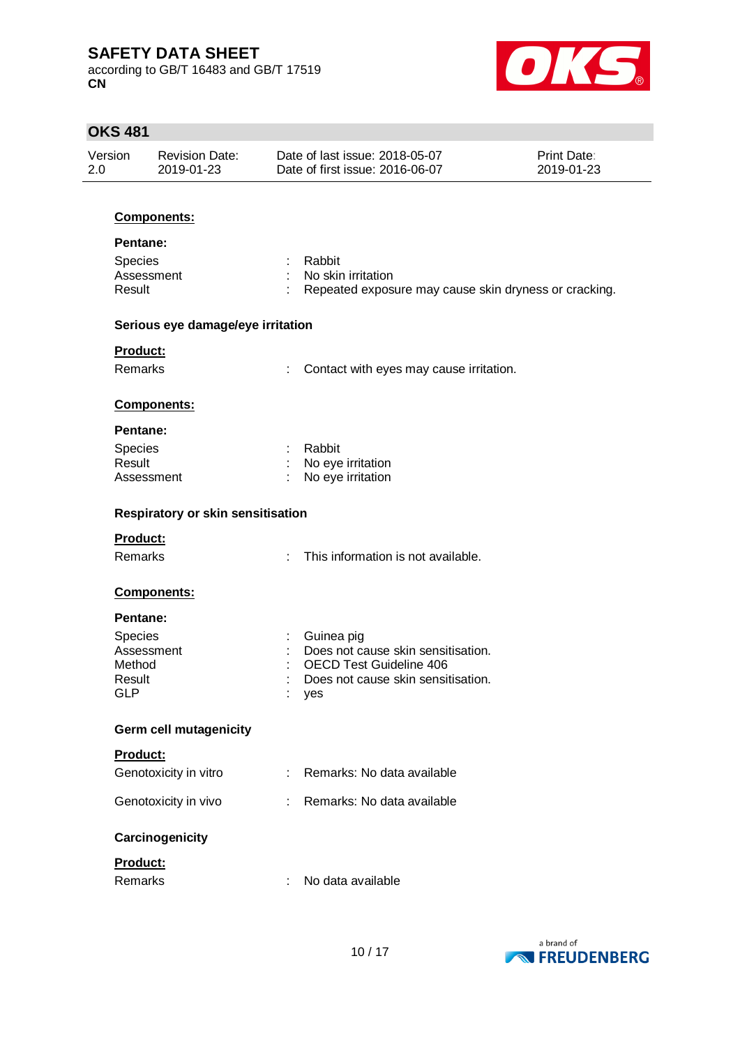according to GB/T 16483 and GB/T 17519 **CN**



# **OKS 481**

| <b>Revision Date:</b><br>2019-01-23<br><b>Components:</b><br>Assessment<br>Serious eye damage/eye irritation<br>Components: |            | Date of last issue: 2018-05-07<br>Date of first issue: 2016-06-07<br>Rabbit<br>No skin irritation<br>Repeated exposure may cause skin dryness or cracking.<br>Contact with eyes may cause irritation. | <b>Print Date:</b><br>2019-01-23                                                                      |
|-----------------------------------------------------------------------------------------------------------------------------|------------|-------------------------------------------------------------------------------------------------------------------------------------------------------------------------------------------------------|-------------------------------------------------------------------------------------------------------|
|                                                                                                                             |            |                                                                                                                                                                                                       |                                                                                                       |
|                                                                                                                             |            |                                                                                                                                                                                                       |                                                                                                       |
|                                                                                                                             |            |                                                                                                                                                                                                       |                                                                                                       |
|                                                                                                                             |            |                                                                                                                                                                                                       |                                                                                                       |
|                                                                                                                             |            |                                                                                                                                                                                                       |                                                                                                       |
|                                                                                                                             |            |                                                                                                                                                                                                       |                                                                                                       |
|                                                                                                                             |            |                                                                                                                                                                                                       |                                                                                                       |
|                                                                                                                             |            |                                                                                                                                                                                                       |                                                                                                       |
|                                                                                                                             |            |                                                                                                                                                                                                       |                                                                                                       |
|                                                                                                                             |            | Rabbit                                                                                                                                                                                                |                                                                                                       |
| Assessment                                                                                                                  |            | No eye irritation<br>No eye irritation                                                                                                                                                                |                                                                                                       |
| <b>Respiratory or skin sensitisation</b>                                                                                    |            |                                                                                                                                                                                                       |                                                                                                       |
|                                                                                                                             |            |                                                                                                                                                                                                       |                                                                                                       |
|                                                                                                                             |            | This information is not available.                                                                                                                                                                    |                                                                                                       |
| Components:                                                                                                                 |            |                                                                                                                                                                                                       |                                                                                                       |
|                                                                                                                             |            |                                                                                                                                                                                                       |                                                                                                       |
|                                                                                                                             |            | Guinea pig                                                                                                                                                                                            |                                                                                                       |
|                                                                                                                             |            |                                                                                                                                                                                                       |                                                                                                       |
|                                                                                                                             |            | Does not cause skin sensitisation.                                                                                                                                                                    |                                                                                                       |
|                                                                                                                             |            | yes                                                                                                                                                                                                   |                                                                                                       |
| <b>Germ cell mutagenicity</b>                                                                                               |            |                                                                                                                                                                                                       |                                                                                                       |
|                                                                                                                             |            |                                                                                                                                                                                                       |                                                                                                       |
| Genotoxicity in vitro                                                                                                       |            | Remarks: No data available                                                                                                                                                                            |                                                                                                       |
| Genotoxicity in vivo                                                                                                        |            | Remarks: No data available                                                                                                                                                                            |                                                                                                       |
| Carcinogenicity                                                                                                             |            |                                                                                                                                                                                                       |                                                                                                       |
|                                                                                                                             |            |                                                                                                                                                                                                       |                                                                                                       |
|                                                                                                                             | ÷          | No data available                                                                                                                                                                                     |                                                                                                       |
|                                                                                                                             | Assessment |                                                                                                                                                                                                       | Does not cause skin sensitisation.<br><b>OECD Test Guideline 406</b><br>$\mathcal{F}_{\mathcal{A}}$ . |

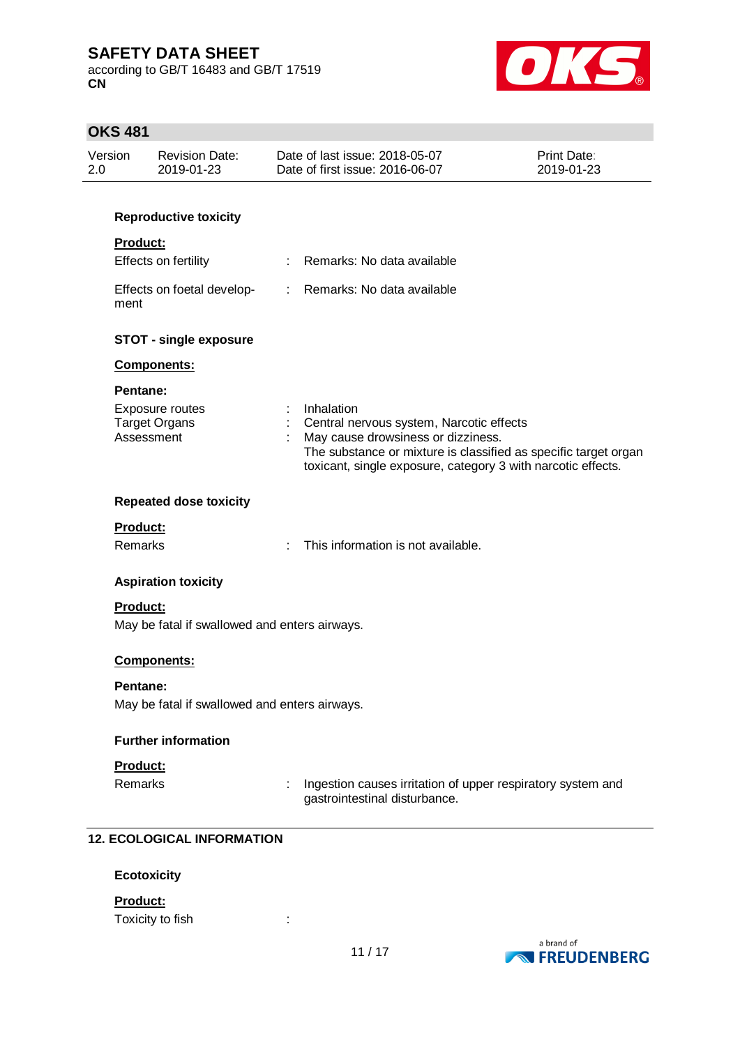according to GB/T 16483 and GB/T 17519 **CN**



# **OKS 481**

| Version<br>2.0 | <b>Revision Date:</b><br>2019-01-23                              |    | Date of last issue: 2018-05-07<br>Date of first issue: 2016-06-07                                                                                                                                                               | <b>Print Date:</b><br>2019-01-23 |
|----------------|------------------------------------------------------------------|----|---------------------------------------------------------------------------------------------------------------------------------------------------------------------------------------------------------------------------------|----------------------------------|
|                | <b>Reproductive toxicity</b>                                     |    |                                                                                                                                                                                                                                 |                                  |
|                | <b>Product:</b>                                                  |    |                                                                                                                                                                                                                                 |                                  |
|                | Effects on fertility                                             |    | : Remarks: No data available                                                                                                                                                                                                    |                                  |
| ment           | Effects on foetal develop-                                       |    | : Remarks: No data available                                                                                                                                                                                                    |                                  |
|                | <b>STOT - single exposure</b>                                    |    |                                                                                                                                                                                                                                 |                                  |
|                | Components:                                                      |    |                                                                                                                                                                                                                                 |                                  |
|                | Pentane:                                                         |    |                                                                                                                                                                                                                                 |                                  |
|                | Exposure routes<br><b>Target Organs</b><br>Assessment            | ÷. | Inhalation<br>Central nervous system, Narcotic effects<br>May cause drowsiness or dizziness.<br>The substance or mixture is classified as specific target organ<br>toxicant, single exposure, category 3 with narcotic effects. |                                  |
|                | <b>Repeated dose toxicity</b>                                    |    |                                                                                                                                                                                                                                 |                                  |
|                | <b>Product:</b>                                                  |    |                                                                                                                                                                                                                                 |                                  |
|                | <b>Remarks</b>                                                   |    | This information is not available.                                                                                                                                                                                              |                                  |
|                | <b>Aspiration toxicity</b>                                       |    |                                                                                                                                                                                                                                 |                                  |
|                | <b>Product:</b><br>May be fatal if swallowed and enters airways. |    |                                                                                                                                                                                                                                 |                                  |
|                | Components:                                                      |    |                                                                                                                                                                                                                                 |                                  |
|                | Pentane:                                                         |    |                                                                                                                                                                                                                                 |                                  |
|                | May be fatal if swallowed and enters airways.                    |    |                                                                                                                                                                                                                                 |                                  |
|                | <b>Further information</b>                                       |    |                                                                                                                                                                                                                                 |                                  |
|                | Product:                                                         |    |                                                                                                                                                                                                                                 |                                  |
|                | Remarks                                                          |    | Ingestion causes irritation of upper respiratory system and                                                                                                                                                                     |                                  |

# gastrointestinal disturbance.

### **12. ECOLOGICAL INFORMATION**

### **Ecotoxicity**

### **Product:**

Toxicity to fish in the set of the set of the set of the set of the set of the set of the set of the set of the set of the set of the set of the set of the set of the set of the set of the set of the set of the set of the

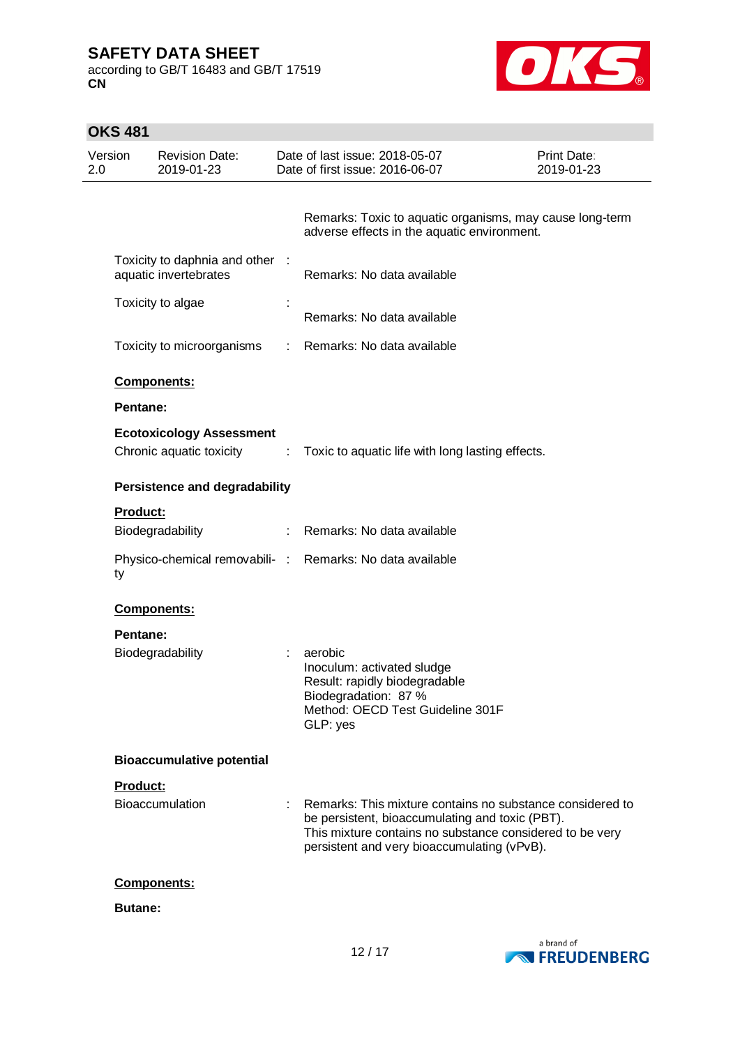according to GB/T 16483 and GB/T 17519 **CN**



| <b>OKS 481</b> |                                                                         |    |                                                                                                                                                                                                                         |                                  |
|----------------|-------------------------------------------------------------------------|----|-------------------------------------------------------------------------------------------------------------------------------------------------------------------------------------------------------------------------|----------------------------------|
| Version<br>2.0 | <b>Revision Date:</b><br>2019-01-23                                     |    | Date of last issue: 2018-05-07<br>Date of first issue: 2016-06-07                                                                                                                                                       | <b>Print Date:</b><br>2019-01-23 |
|                |                                                                         |    | Remarks: Toxic to aquatic organisms, may cause long-term<br>adverse effects in the aquatic environment.                                                                                                                 |                                  |
|                | Toxicity to daphnia and other :<br>aquatic invertebrates                |    | Remarks: No data available                                                                                                                                                                                              |                                  |
|                | Toxicity to algae                                                       |    | Remarks: No data available                                                                                                                                                                                              |                                  |
|                | Toxicity to microorganisms                                              | t. | Remarks: No data available                                                                                                                                                                                              |                                  |
|                | Components:                                                             |    |                                                                                                                                                                                                                         |                                  |
|                | Pentane:<br><b>Ecotoxicology Assessment</b><br>Chronic aquatic toxicity | ÷. | Toxic to aquatic life with long lasting effects.                                                                                                                                                                        |                                  |
|                | <b>Persistence and degradability</b>                                    |    |                                                                                                                                                                                                                         |                                  |
|                | <b>Product:</b><br>Biodegradability                                     |    | : Remarks: No data available                                                                                                                                                                                            |                                  |
| ty             | Physico-chemical removabili- :                                          |    | Remarks: No data available                                                                                                                                                                                              |                                  |
|                | Components:                                                             |    |                                                                                                                                                                                                                         |                                  |
|                | Pentane:<br>Biodegradability                                            |    | aerobic<br>Inoculum: activated sludge<br>Result: rapidly biodegradable<br>Biodegradation: 87 %<br>Method: OECD Test Guideline 301F<br>GLP: yes                                                                          |                                  |
|                | <b>Bioaccumulative potential</b>                                        |    |                                                                                                                                                                                                                         |                                  |
|                | Product:<br>Bioaccumulation                                             |    | Remarks: This mixture contains no substance considered to<br>be persistent, bioaccumulating and toxic (PBT).<br>This mixture contains no substance considered to be very<br>persistent and very bioaccumulating (vPvB). |                                  |
|                | Components:                                                             |    |                                                                                                                                                                                                                         |                                  |
|                | <b>Butane:</b>                                                          |    |                                                                                                                                                                                                                         |                                  |

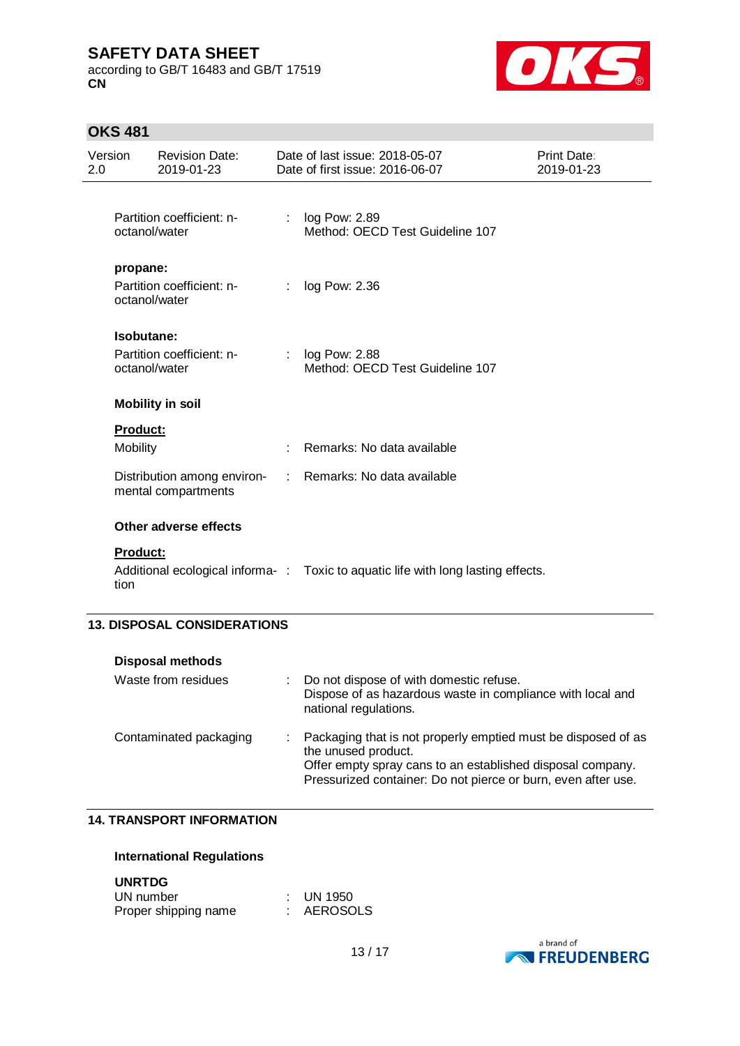according to GB/T 16483 and GB/T 17519 **CN**



# **OKS 481**

| Version<br>2.0 |                             | <b>Revision Date:</b><br>2019-01-23                |                | Date of last issue: 2018-05-07<br>Date of first issue: 2016-06-07                                                                                                                                                   | Print Date:<br>2019-01-23 |
|----------------|-----------------------------|----------------------------------------------------|----------------|---------------------------------------------------------------------------------------------------------------------------------------------------------------------------------------------------------------------|---------------------------|
|                | octanol/water               | Partition coefficient: n-                          | ÷              | log Pow: 2.89<br>Method: OECD Test Guideline 107                                                                                                                                                                    |                           |
|                | propane:<br>octanol/water   | Partition coefficient: n-                          | ÷              | log Pow: 2.36                                                                                                                                                                                                       |                           |
|                | Isobutane:<br>octanol/water | Partition coefficient: n-                          |                | log Pow: 2.88<br>Method: OECD Test Guideline 107                                                                                                                                                                    |                           |
|                |                             | <b>Mobility in soil</b>                            |                |                                                                                                                                                                                                                     |                           |
|                | Product:                    |                                                    |                |                                                                                                                                                                                                                     |                           |
|                | Mobility                    |                                                    | ÷              | Remarks: No data available                                                                                                                                                                                          |                           |
|                |                             | Distribution among environ-<br>mental compartments | $\mathbb{R}^n$ | Remarks: No data available                                                                                                                                                                                          |                           |
|                |                             | Other adverse effects                              |                |                                                                                                                                                                                                                     |                           |
|                | Product:<br>tion            |                                                    |                | Additional ecological informa-: Toxic to aquatic life with long lasting effects.                                                                                                                                    |                           |
|                |                             | <b>13. DISPOSAL CONSIDERATIONS</b>                 |                |                                                                                                                                                                                                                     |                           |
|                |                             | <b>Disposal methods</b>                            |                |                                                                                                                                                                                                                     |                           |
|                |                             | Waste from residues                                | t.             | Do not dispose of with domestic refuse.<br>Dispose of as hazardous waste in compliance with local and<br>national regulations.                                                                                      |                           |
|                |                             | Contaminated packaging                             |                | Packaging that is not properly emptied must be disposed of as<br>the unused product.<br>Offer empty spray cans to an established disposal company.<br>Pressurized container: Do not pierce or burn, even after use. |                           |

#### **14. TRANSPORT INFORMATION**

### **International Regulations**

**UNRTDG**

| UN number            | $\therefore$ UN 1950 |
|----------------------|----------------------|
| Proper shipping name | AEROSOLS             |

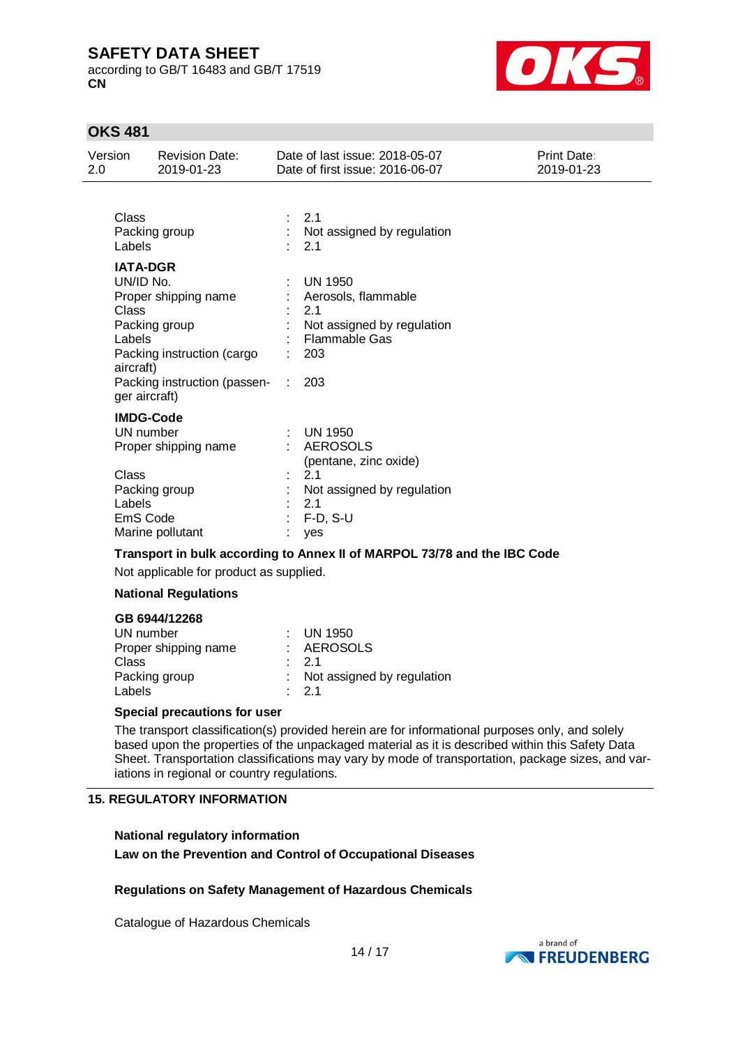according to GB/T 16483 and GB/T 17519 **CN**



## **OKS 481**

| Version<br>2.0               | <b>Revision Date:</b><br>2019-01-23                                                                                                                  |    | Date of last issue: 2018-05-07<br>Date of first issue: 2016-06-07                                                                 | Print Date:<br>2019-01-23 |
|------------------------------|------------------------------------------------------------------------------------------------------------------------------------------------------|----|-----------------------------------------------------------------------------------------------------------------------------------|---------------------------|
| Class<br>Labels              | Packing group                                                                                                                                        | t. | 2.1<br>Not assigned by regulation<br>2.1                                                                                          |                           |
| Class<br>Labels<br>aircraft) | <b>IATA-DGR</b><br>UN/ID No.<br>Proper shipping name<br>Packing group<br>Packing instruction (cargo<br>Packing instruction (passen-<br>ger aircraft) |    | <b>UN 1950</b><br>Aerosols, flammable<br>2.1<br>Not assigned by regulation<br>Flammable Gas<br>203<br>203                         |                           |
| Class<br>Labels              | <b>IMDG-Code</b><br>UN number<br>Proper shipping name<br>Packing group<br>EmS Code<br>Marine pollutant                                               |    | $\therefore$ UN 1950<br><b>AEROSOLS</b><br>(pentane, zinc oxide)<br>2.1<br>Not assigned by regulation<br>2.1<br>$F-D, S-U$<br>yes |                           |
|                              | Transport in bulk according to Annex II of MARPOL 73/78 and the IBC Code                                                                             |    |                                                                                                                                   |                           |

Not applicable for product as supplied.

### **National Regulations**

### **GB 6944/12268**

| UN number            | $\therefore$ UN 1950         |
|----------------------|------------------------------|
| Proper shipping name | : AEROSOLS                   |
| Class                | $\cdot$ 21                   |
| Packing group        | : Not assigned by regulation |
| Labels               | $\cdot$ 21                   |
|                      |                              |

#### **Special precautions for user**

The transport classification(s) provided herein are for informational purposes only, and solely based upon the properties of the unpackaged material as it is described within this Safety Data Sheet. Transportation classifications may vary by mode of transportation, package sizes, and variations in regional or country regulations.

#### **15. REGULATORY INFORMATION**

## **National regulatory information Law on the Prevention and Control of Occupational Diseases**

### **Regulations on Safety Management of Hazardous Chemicals**

Catalogue of Hazardous Chemicals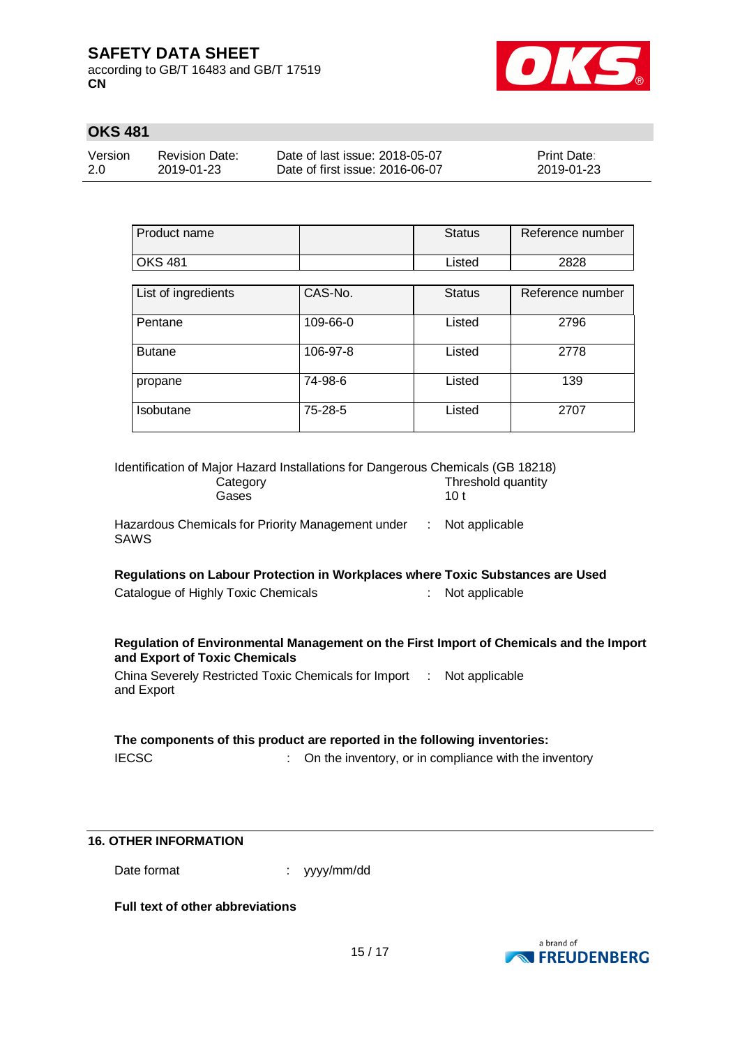according to GB/T 16483 and GB/T 17519 **CN**



# **OKS 481**

| Version | <b>Revision Date:</b> | Date of last issue: 2018-05-07  | <b>Print Date:</b> |
|---------|-----------------------|---------------------------------|--------------------|
| 2.0     | 2019-01-23            | Date of first issue: 2016-06-07 | 2019-01-23         |

| Product name        |          | <b>Status</b> | Reference number |
|---------------------|----------|---------------|------------------|
| <b>OKS 481</b>      |          | Listed        | 2828             |
|                     |          |               |                  |
| List of ingredients | CAS-No.  | <b>Status</b> | Reference number |
| Pentane             | 109-66-0 | Listed        | 2796             |
| <b>Butane</b>       | 106-97-8 | Listed        | 2778             |
| propane             | 74-98-6  | Listed        | 139              |
| Isobutane           | 75-28-5  | Listed        | 2707             |

| Identification of Major Hazard Installations for Dangerous Chemicals (GB 18218)<br>Category<br>Gases                    | Threshold quantity<br>10 <sub>t</sub>                 |  |  |
|-------------------------------------------------------------------------------------------------------------------------|-------------------------------------------------------|--|--|
| Hazardous Chemicals for Priority Management under : Not applicable<br><b>SAWS</b>                                       |                                                       |  |  |
| Regulations on Labour Protection in Workplaces where Toxic Substances are Used                                          |                                                       |  |  |
| Catalogue of Highly Toxic Chemicals<br>÷.                                                                               | Not applicable                                        |  |  |
| Regulation of Environmental Management on the First Import of Chemicals and the Import<br>and Export of Toxic Chemicals |                                                       |  |  |
| China Severely Restricted Toxic Chemicals for Import : Not applicable<br>and Export                                     |                                                       |  |  |
| The components of this product are reported in the following inventories:                                               |                                                       |  |  |
| <b>IECSC</b>                                                                                                            | On the inventory, or in compliance with the inventory |  |  |

### **16. OTHER INFORMATION**

Date format  $\qquad \qquad : \quad$  yyyy/mm/dd

**Full text of other abbreviations**

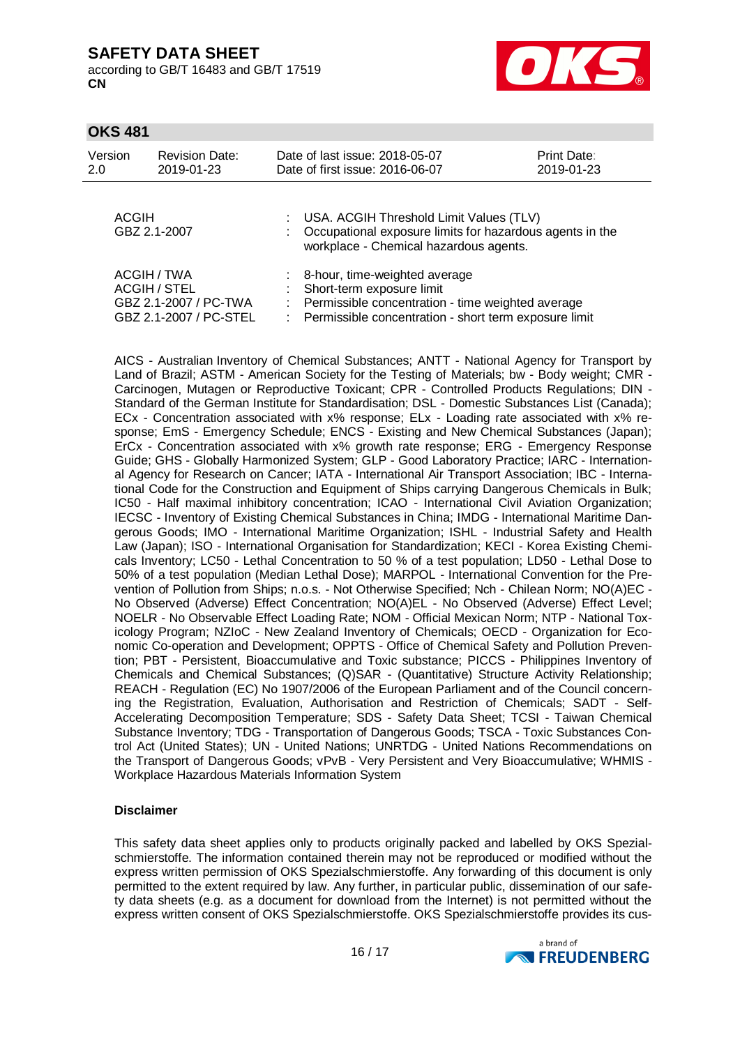according to GB/T 16483 and GB/T 17519 **CN**



### **OKS 481**

| Version<br>2.0 | <b>Revision Date:</b><br>2019-01-23                                                   | Date of last issue: 2018-05-07<br>Date of first issue: 2016-06-07                                                                                                                | <b>Print Date:</b><br>2019-01-23 |
|----------------|---------------------------------------------------------------------------------------|----------------------------------------------------------------------------------------------------------------------------------------------------------------------------------|----------------------------------|
| ACGIH          | GBZ 2.1-2007                                                                          | : USA. ACGIH Threshold Limit Values (TLV)<br>: Occupational exposure limits for hazardous agents in the<br>workplace - Chemical hazardous agents.                                |                                  |
|                | ACGIH / TWA<br><b>ACGIH / STEL</b><br>GBZ 2.1-2007 / PC-TWA<br>GBZ 2.1-2007 / PC-STEL | : 8-hour, time-weighted average<br>: Short-term exposure limit<br>: Permissible concentration - time weighted average<br>: Permissible concentration - short term exposure limit |                                  |

AICS - Australian Inventory of Chemical Substances; ANTT - National Agency for Transport by Land of Brazil; ASTM - American Society for the Testing of Materials; bw - Body weight; CMR - Carcinogen, Mutagen or Reproductive Toxicant; CPR - Controlled Products Regulations; DIN - Standard of the German Institute for Standardisation; DSL - Domestic Substances List (Canada); ECx - Concentration associated with x% response; ELx - Loading rate associated with x% response; EmS - Emergency Schedule; ENCS - Existing and New Chemical Substances (Japan); ErCx - Concentration associated with x% growth rate response; ERG - Emergency Response Guide; GHS - Globally Harmonized System; GLP - Good Laboratory Practice; IARC - International Agency for Research on Cancer; IATA - International Air Transport Association; IBC - International Code for the Construction and Equipment of Ships carrying Dangerous Chemicals in Bulk; IC50 - Half maximal inhibitory concentration; ICAO - International Civil Aviation Organization; IECSC - Inventory of Existing Chemical Substances in China; IMDG - International Maritime Dangerous Goods; IMO - International Maritime Organization; ISHL - Industrial Safety and Health Law (Japan); ISO - International Organisation for Standardization; KECI - Korea Existing Chemicals Inventory; LC50 - Lethal Concentration to 50 % of a test population; LD50 - Lethal Dose to 50% of a test population (Median Lethal Dose); MARPOL - International Convention for the Prevention of Pollution from Ships; n.o.s. - Not Otherwise Specified; Nch - Chilean Norm; NO(A)EC - No Observed (Adverse) Effect Concentration; NO(A)EL - No Observed (Adverse) Effect Level; NOELR - No Observable Effect Loading Rate; NOM - Official Mexican Norm; NTP - National Toxicology Program; NZIoC - New Zealand Inventory of Chemicals; OECD - Organization for Economic Co-operation and Development; OPPTS - Office of Chemical Safety and Pollution Prevention; PBT - Persistent, Bioaccumulative and Toxic substance; PICCS - Philippines Inventory of Chemicals and Chemical Substances; (Q)SAR - (Quantitative) Structure Activity Relationship; REACH - Regulation (EC) No 1907/2006 of the European Parliament and of the Council concerning the Registration, Evaluation, Authorisation and Restriction of Chemicals; SADT - Self-Accelerating Decomposition Temperature; SDS - Safety Data Sheet; TCSI - Taiwan Chemical Substance Inventory; TDG - Transportation of Dangerous Goods; TSCA - Toxic Substances Control Act (United States); UN - United Nations; UNRTDG - United Nations Recommendations on the Transport of Dangerous Goods; vPvB - Very Persistent and Very Bioaccumulative; WHMIS - Workplace Hazardous Materials Information System

### **Disclaimer**

This safety data sheet applies only to products originally packed and labelled by OKS Spezialschmierstoffe. The information contained therein may not be reproduced or modified without the express written permission of OKS Spezialschmierstoffe. Any forwarding of this document is only permitted to the extent required by law. Any further, in particular public, dissemination of our safety data sheets (e.g. as a document for download from the Internet) is not permitted without the express written consent of OKS Spezialschmierstoffe. OKS Spezialschmierstoffe provides its cus-